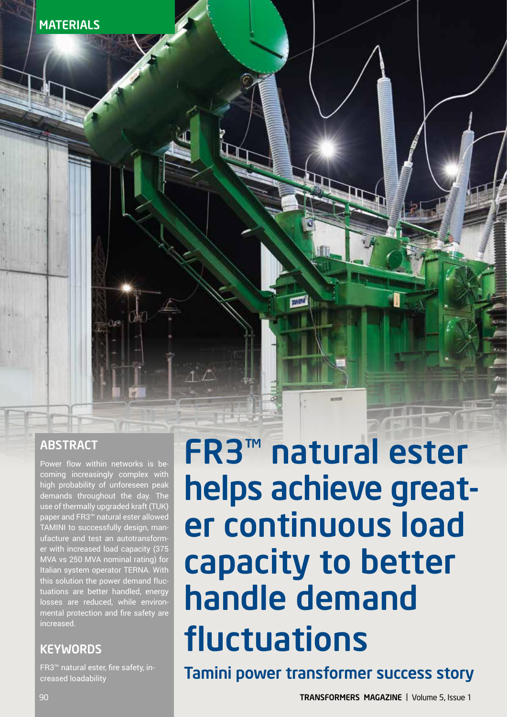

# **ABSTRACT**

Power flow within networks is becoming increasingly complex with high probability of unforeseen peak demands throughout the day. The use of thermally upgraded kraft (TUK) paper and FR3™ natural ester allowed TAMINI to successfully design, manufacture and test an autotransformer with increased load capacity (375 MVA vs 250 MVA nominal rating) for Italian system operator TERNA. With this solution the power demand fluctuations are better handled, energy losses are reduced, while environmental protection and fire safety are increased.

## **KEYWORDS**

FR3™ natural ester, fire safety, increased loadability

# FR3™ natural ester helps achieve greater continuous load capacity to better handle demand fluctuations

Tamini power transformer success story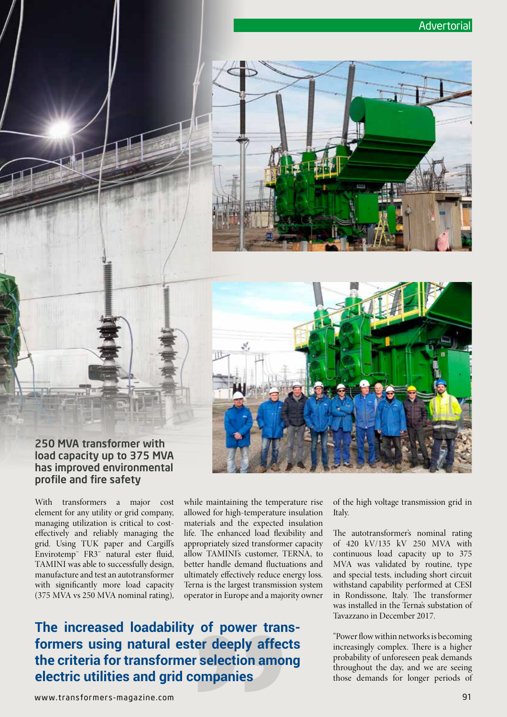



#### 250 MVA transformer with load capacity up to 375 MVA has improved environmental profile and fire safety

With transformers a major cost element for any utility or grid company, managing utilization is critical to costeffectively and reliably managing the grid. Using TUK paper and Cargill's Envirotemp™ FR3™ natural ester fluid, TAMINI was able to successfully design, manufacture and test an autotransformer with significantly more load capacity (375 MVA vs 250 MVA nominal rating), while maintaining the temperature rise allowed for high-temperature insulation materials and the expected insulation life. The enhanced load flexibility and appropriately sized transformer capacity allow TAMINI's customer, TERNA, to better handle demand fluctuations and ultimately effectively reduce energy loss. Terna is the largest transmission system operator in Europe and a majority owner

# **The increased loadability of power transformers using natural ester deeply affects the criteria for transformer selection among electric utilities and grid companies**

of the high voltage transmission grid in Italy.

The autotransformer's nominal rating of 420 kV/135 kV 250 MVA with continuous load capacity up to 375 MVA was validated by routine, type and special tests, including short circuit withstand capability performed at CESI in Rondissone, Italy. The transformer was installed in the Terna's substation of Tavazzano in December 2017.

"Power flow within networks is becoming increasingly complex. There is a higher probability of unforeseen peak demands throughout the day, and we are seeing those demands for longer periods of